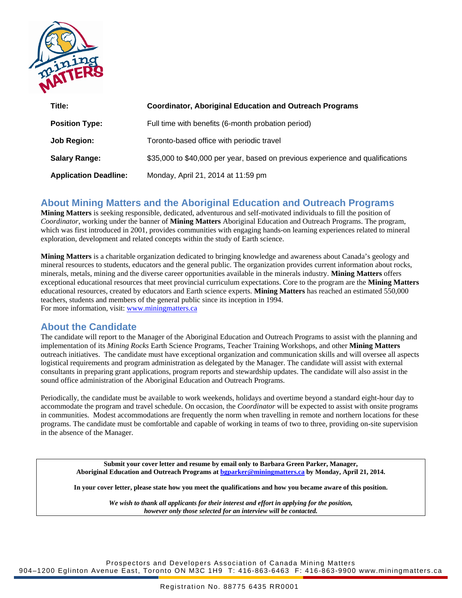

| Title:                       | <b>Coordinator, Aboriginal Education and Outreach Programs</b>                 |
|------------------------------|--------------------------------------------------------------------------------|
| <b>Position Type:</b>        | Full time with benefits (6-month probation period)                             |
| Job Region:                  | Toronto-based office with periodic travel                                      |
| <b>Salary Range:</b>         | \$35,000 to \$40,000 per year, based on previous experience and qualifications |
| <b>Application Deadline:</b> | Monday, April 21, 2014 at 11:59 pm                                             |

## **About Mining Matters and the Aboriginal Education and Outreach Programs**

**Mining Matters** is seeking responsible, dedicated, adventurous and self-motivated individuals to fill the position of *Coordinator*, working under the banner of **Mining Matters** Aboriginal Education and Outreach Programs. The program, which was first introduced in 2001, provides communities with engaging hands-on learning experiences related to mineral exploration, development and related concepts within the study of Earth science.

**Mining Matters** is a charitable organization dedicated to bringing knowledge and awareness about Canada's geology and mineral resources to students, educators and the general public. The organization provides current information about rocks, minerals, metals, mining and the diverse career opportunities available in the minerals industry. **Mining Matters** offers exceptional educational resources that meet provincial curriculum expectations. Core to the program are the **Mining Matters**  educational resources, created by educators and Earth science experts. **Mining Matters** has reached an estimated 550,000 teachers, students and members of the general public since its inception in 1994. For more information, visit: [www.miningmatters.ca](http://www.miningmatters.ca/)

# **About the Candidate**

The candidate will report to the Manager of the Aboriginal Education and Outreach Programs to assist with the planning and implementation of its *Mining Rocks* Earth Science Programs, Teacher Training Workshops, and other **Mining Matters** outreach initiatives. The candidate must have exceptional organization and communication skills and will oversee all aspects logistical requirements and program administration as delegated by the Manager. The candidate will assist with external consultants in preparing grant applications, program reports and stewardship updates. The candidate will also assist in the sound office administration of the Aboriginal Education and Outreach Programs.

Periodically, the candidate must be available to work weekends, holidays and overtime beyond a standard eight-hour day to accommodate the program and travel schedule. On occasion, the *Coordinator* will be expected to assist with onsite programs in communities. Modest accommodations are frequently the norm when travelling in remote and northern locations for these programs. The candidate must be comfortable and capable of working in teams of two to three, providing on-site supervision in the absence of the Manager.

**Submit your cover letter and resume by email only to Barbara Green Parker, Manager, Aboriginal Education and Outreach Programs at [bgparker@miningmatters.ca](mailto:bgparker@miningmatters.ca) by Monday, April 21, 2014.**

**In your cover letter, please state how you meet the qualifications and how you became aware of this position.**

*We wish to thank all applicants for their interest and effort in applying for the position, however only those selected for an interview will be contacted.*